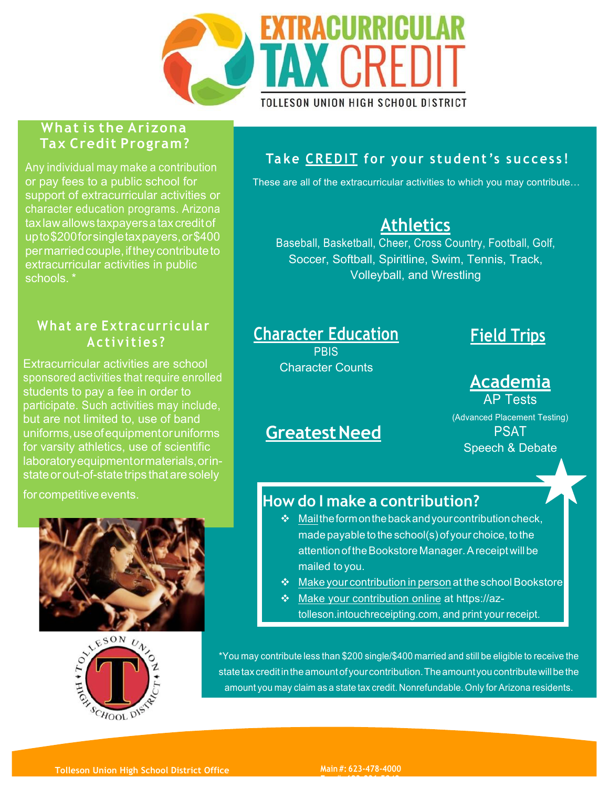

#### What is the Arizona **Tax Credit Program?**

Any individual may make a contribution or pay fees to a public school for support of extracurricular activities or character education programs. Arizona tax law allows taxpayers a tax credit of upto\$200forsingletaxpayers, or\$400 per married couple, if they contribute to extracurricular activities in public schools.\*

### What are Extracurricular Activities?

Extracurricular activities are school sponsored activities that require enrolled students to pay a fee in order to participate. Such activities may include, but are not limited to, use of band uniforms, use of equipment or uniforms for varsity athletics, use of scientific laboratory equipment or materials, or instate or out-of-state trips that are solely

for competitive events.





### Take CREDIT for your student's success!

These are all of the extracurricular activities to which you may contribute...

# **Athletics**

Baseball, Basketball, Cheer, Cross Country, Football, Golf, Soccer, Softball, Spiritline, Swim, Tennis, Track, **Volleyball, and Wrestling** 

## **Character Education**

**PRIS Character Counts** 

# **Field Trips**

### **Academia AP Tests**

(Advanced Placement Testing) **PSAT Speech & Debate** 

# **Greatest Need**

### How do I make a contribution?

- $\clubsuit$  Mail the form on the back and your contribution check, made payable to the school(s) of your choice, to the attention of the Bookstore Manager. A receipt will be mailed to you.
- Make your contribution in person at the school Bookstore
- \* Make your contribution online at https://aztolleson.intouchreceipting.com, and print your receipt.

\*You may contribute less than \$200 single/\$400 married and still be eligible to receive the state tax credit in the amount of your contribution. The amount you contribute will be the amount you may claim as a state tax credit. Nonrefundable. Only for Arizona residents.